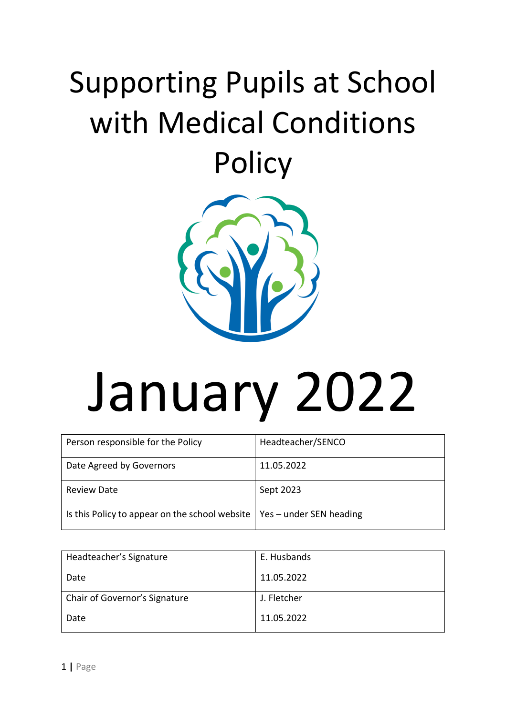# Supporting Pupils at School with Medical Conditions **Policy**



# January 2022

| Person responsible for the Policy                                              | Headteacher/SENCO |
|--------------------------------------------------------------------------------|-------------------|
| Date Agreed by Governors                                                       | 11.05.2022        |
| <b>Review Date</b>                                                             | Sept 2023         |
| Is this Policy to appear on the school website $\vert$ Yes – under SEN heading |                   |

| Headteacher's Signature       | E. Husbands |
|-------------------------------|-------------|
| Date                          | 11.05.2022  |
| Chair of Governor's Signature | J. Fletcher |
| Date                          | 11.05.2022  |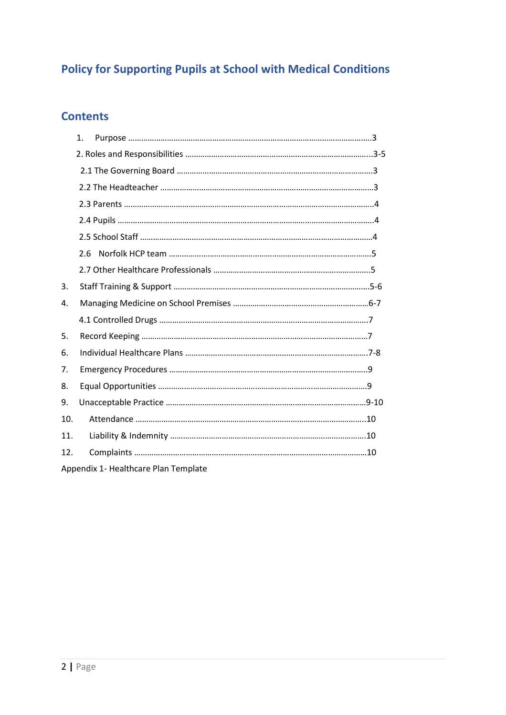# **Policy for Supporting Pupils at School with Medical Conditions**

# **Contents**

|     | 1.  |                                      |  |  |
|-----|-----|--------------------------------------|--|--|
|     |     |                                      |  |  |
|     |     |                                      |  |  |
|     |     |                                      |  |  |
|     |     |                                      |  |  |
|     |     |                                      |  |  |
|     |     |                                      |  |  |
|     | 2.6 |                                      |  |  |
|     |     |                                      |  |  |
| 3.  |     |                                      |  |  |
| 4.  |     |                                      |  |  |
|     |     |                                      |  |  |
| 5.  |     |                                      |  |  |
| 6.  |     |                                      |  |  |
| 7.  |     |                                      |  |  |
| 8.  |     |                                      |  |  |
| 9.  |     |                                      |  |  |
| 10. |     |                                      |  |  |
| 11. |     |                                      |  |  |
| 12. |     |                                      |  |  |
|     |     | Appendix 1- Healthcare Plan Template |  |  |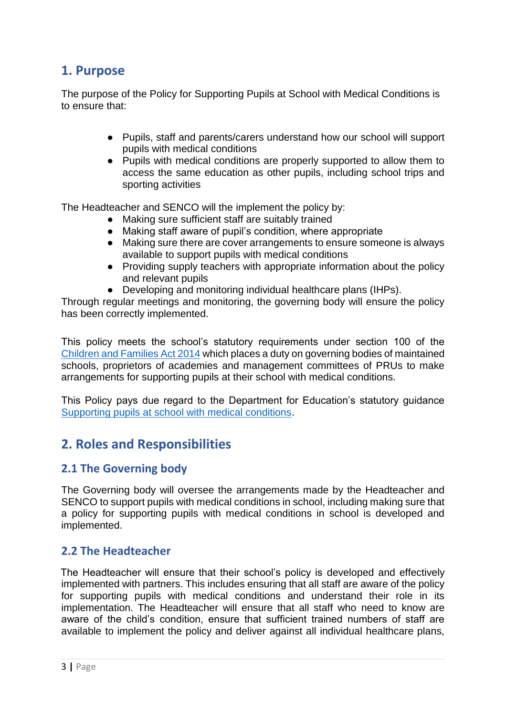# **1. Purpose**

The purpose of the Policy for Supporting Pupils at School with Medical Conditions is to ensure that:

- Pupils, staff and parents/carers understand how our school will support pupils with medical conditions
- Pupils with medical conditions are properly supported to allow them to access the same education as other pupils, including school trips and sporting activities

The Headteacher and SENCO will the implement the policy by:

- Making sure sufficient staff are suitably trained
- Making staff aware of pupil's condition, where appropriate
- Making sure there are cover arrangements to ensure someone is always available to support pupils with medical conditions
- Providing supply teachers with appropriate information about the policy and relevant pupils
- Developing and monitoring individual healthcare plans (IHPs).

Through regular meetings and monitoring, the governing body will ensure the policy has been correctly implemented.

This policy meets the school's statutory requirements under section 100 of the [Children and Families Act 2014](http://www.legislation.gov.uk/ukpga/2014/6/section/100/enacted) which places a duty on governing bodies of maintained schools, proprietors of academies and management committees of PRUs to make arrangements for supporting pupils at their school with medical conditions.

This Policy pays due regard to the Department for Education's statutory guidance [Supporting pupils at school with medical conditions.](https://assets.publishing.service.gov.uk/government/uploads/system/uploads/attachment_data/file/803956/supporting-pupils-at-school-with-medical-conditions.pdf)

# **2. Roles and Responsibilities**

# **2.1 The Governing body**

The Governing body will oversee the arrangements made by the Headteacher and SENCO to support pupils with medical conditions in school, including making sure that a policy for supporting pupils with medical conditions in school is developed and implemented.

#### **2.2 The Headteacher**

The Headteacher will ensure that their school's policy is developed and effectively implemented with partners. This includes ensuring that all staff are aware of the policy for supporting pupils with medical conditions and understand their role in its implementation. The Headteacher will ensure that all staff who need to know are aware of the child's condition, ensure that sufficient trained numbers of staff are available to implement the policy and deliver against all individual healthcare plans,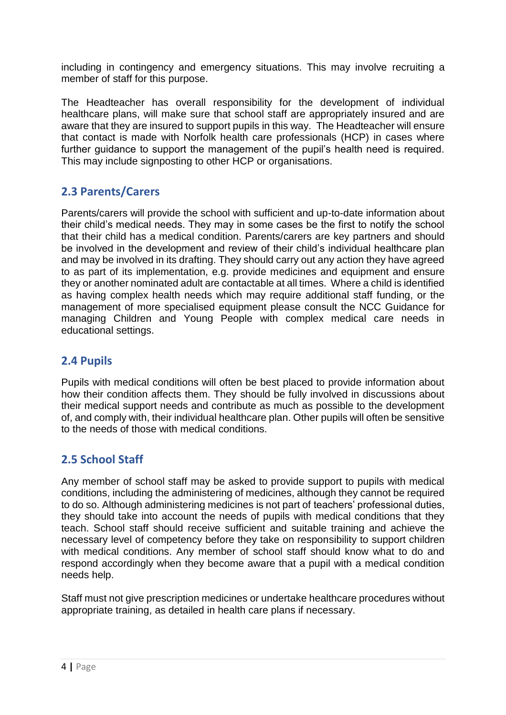including in contingency and emergency situations. This may involve recruiting a member of staff for this purpose.

The Headteacher has overall responsibility for the development of individual healthcare plans, will make sure that school staff are appropriately insured and are aware that they are insured to support pupils in this way. The Headteacher will ensure that contact is made with Norfolk health care professionals (HCP) in cases where further guidance to support the management of the pupil's health need is required. This may include signposting to other HCP or organisations.

# **2.3 Parents/Carers**

Parents/carers will provide the school with sufficient and up-to-date information about their child's medical needs. They may in some cases be the first to notify the school that their child has a medical condition. Parents/carers are key partners and should be involved in the development and review of their child's individual healthcare plan and may be involved in its drafting. They should carry out any action they have agreed to as part of its implementation, e.g. provide medicines and equipment and ensure they or another nominated adult are contactable at all times. Where a child is identified as having complex health needs which may require additional staff funding, or the management of more specialised equipment please consult the NCC Guidance for managing Children and Young People with complex medical care needs in educational settings.

# **2.4 Pupils**

Pupils with medical conditions will often be best placed to provide information about how their condition affects them. They should be fully involved in discussions about their medical support needs and contribute as much as possible to the development of, and comply with, their individual healthcare plan. Other pupils will often be sensitive to the needs of those with medical conditions.

# **2.5 School Staff**

Any member of school staff may be asked to provide support to pupils with medical conditions, including the administering of medicines, although they cannot be required to do so. Although administering medicines is not part of teachers' professional duties, they should take into account the needs of pupils with medical conditions that they teach. School staff should receive sufficient and suitable training and achieve the necessary level of competency before they take on responsibility to support children with medical conditions. Any member of school staff should know what to do and respond accordingly when they become aware that a pupil with a medical condition needs help.

Staff must not give prescription medicines or undertake healthcare procedures without appropriate training, as detailed in health care plans if necessary.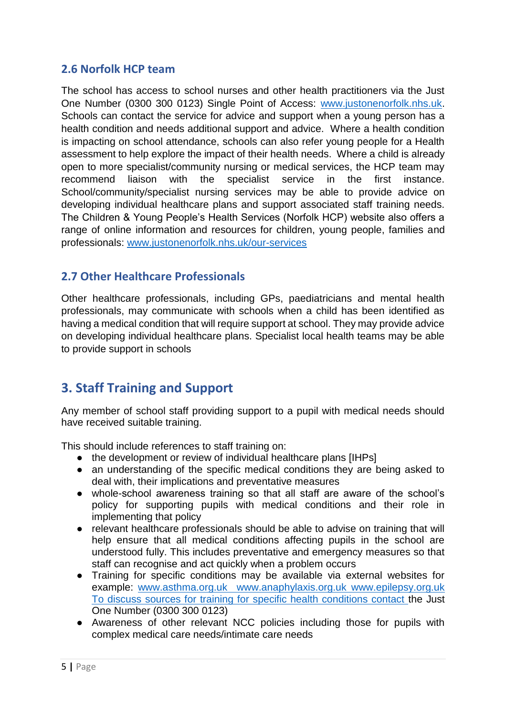#### **2.6 Norfolk HCP team**

The school has access to school nurses and other health practitioners via the Just One Number (0300 300 0123) Single Point of Access: [www.justonenorfolk.nhs.uk.](http://www.justonenorfolk.nhs.uk/) Schools can contact the service for advice and support when a young person has a health condition and needs additional support and advice. Where a health condition is impacting on school attendance, schools can also refer young people for a Health assessment to help explore the impact of their health needs. Where a child is already open to more specialist/community nursing or medical services, the HCP team may recommend liaison with the specialist service in the first instance. School/community/specialist nursing services may be able to provide advice on developing individual healthcare plans and support associated staff training needs. The Children & Young People's Health Services (Norfolk HCP) website also offers a range of online information and resources for children, young people, families and professionals: [www.justonenorfolk.nhs.uk/our-services](http://www.justonenorfolk.nhs.uk/our-services)

# **2.7 Other Healthcare Professionals**

Other healthcare professionals, including GPs, paediatricians and mental health professionals, may communicate with schools when a child has been identified as having a medical condition that will require support at school. They may provide advice on developing individual healthcare plans. Specialist local health teams may be able to provide support in schools

# **3. Staff Training and Support**

Any member of school staff providing support to a pupil with medical needs should have received suitable training.

This should include references to staff training on:

- the development or review of individual healthcare plans [IHPs]
- an understanding of the specific medical conditions they are being asked to deal with, their implications and preventative measures
- whole-school awareness training so that all staff are aware of the school's policy for supporting pupils with medical conditions and their role in implementing that policy
- relevant healthcare professionals should be able to advise on training that will help ensure that all medical conditions affecting pupils in the school are understood fully. This includes preventative and emergency measures so that staff can recognise and act quickly when a problem occurs
- Training for specific conditions may be available via external websites for example: [www.asthma.org.uk](http://www.asthma.org.uk/) [www.anaphylaxis.org.uk](http://www.anaphylaxis.org.uk/) [www.epilepsy.org.uk](http://www.epilepsy.org.uk/)  To discuss sources for training for specific health conditions contact the Just One Number (0300 300 0123)
- Awareness of other relevant NCC policies including those for pupils with complex medical care needs/intimate care needs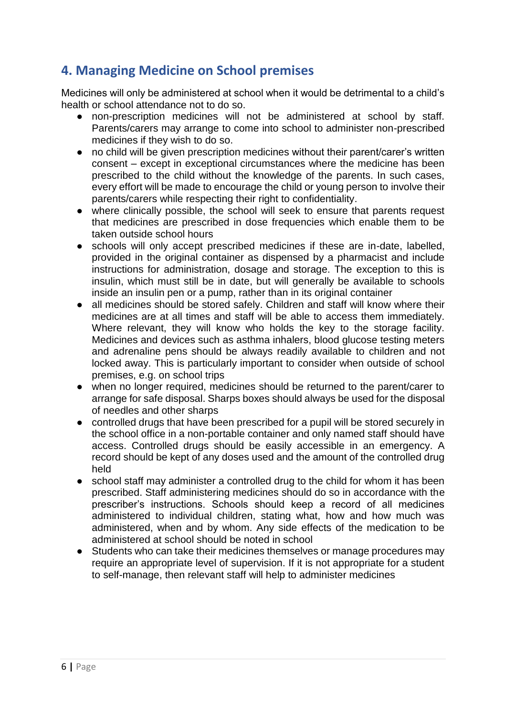# **4. Managing Medicine on School premises**

Medicines will only be administered at school when it would be detrimental to a child's health or school attendance not to do so.

- non-prescription medicines will not be administered at school by staff. Parents/carers may arrange to come into school to administer non-prescribed medicines if they wish to do so.
- no child will be given prescription medicines without their parent/carer's written consent – except in exceptional circumstances where the medicine has been prescribed to the child without the knowledge of the parents. In such cases, every effort will be made to encourage the child or young person to involve their parents/carers while respecting their right to confidentiality.
- where clinically possible, the school will seek to ensure that parents request that medicines are prescribed in dose frequencies which enable them to be taken outside school hours
- schools will only accept prescribed medicines if these are in-date, labelled, provided in the original container as dispensed by a pharmacist and include instructions for administration, dosage and storage. The exception to this is insulin, which must still be in date, but will generally be available to schools inside an insulin pen or a pump, rather than in its original container
- all medicines should be stored safely. Children and staff will know where their medicines are at all times and staff will be able to access them immediately. Where relevant, they will know who holds the key to the storage facility. Medicines and devices such as asthma inhalers, blood glucose testing meters and adrenaline pens should be always readily available to children and not locked away. This is particularly important to consider when outside of school premises, e.g. on school trips
- when no longer required, medicines should be returned to the parent/carer to arrange for safe disposal. Sharps boxes should always be used for the disposal of needles and other sharps
- controlled drugs that have been prescribed for a pupil will be stored securely in the school office in a non-portable container and only named staff should have access. Controlled drugs should be easily accessible in an emergency. A record should be kept of any doses used and the amount of the controlled drug held
- school staff may administer a controlled drug to the child for whom it has been prescribed. Staff administering medicines should do so in accordance with the prescriber's instructions. Schools should keep a record of all medicines administered to individual children, stating what, how and how much was administered, when and by whom. Any side effects of the medication to be administered at school should be noted in school
- Students who can take their medicines themselves or manage procedures may require an appropriate level of supervision. If it is not appropriate for a student to self-manage, then relevant staff will help to administer medicines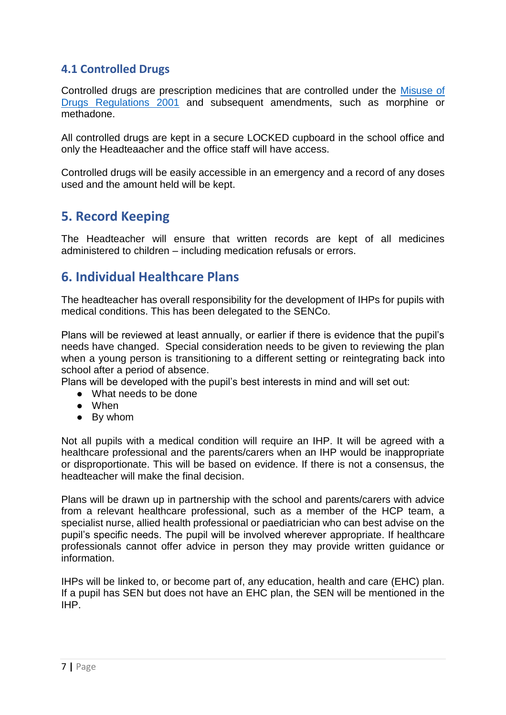#### **4.1 Controlled Drugs**

Controlled drugs are prescription medicines that are controlled under the [Misuse of](http://www.legislation.gov.uk/uksi/2001/3998/contents/made)  [Drugs Regulations 2001](http://www.legislation.gov.uk/uksi/2001/3998/contents/made) and subsequent amendments, such as morphine or methadone.

All controlled drugs are kept in a secure LOCKED cupboard in the school office and only the Headteaacher and the office staff will have access.

Controlled drugs will be easily accessible in an emergency and a record of any doses used and the amount held will be kept.

# **5. Record Keeping**

The Headteacher will ensure that written records are kept of all medicines administered to children – including medication refusals or errors.

# **6. Individual Healthcare Plans**

The headteacher has overall responsibility for the development of IHPs for pupils with medical conditions. This has been delegated to the SENCo.

Plans will be reviewed at least annually, or earlier if there is evidence that the pupil's needs have changed. Special consideration needs to be given to reviewing the plan when a young person is transitioning to a different setting or reintegrating back into school after a period of absence.

Plans will be developed with the pupil's best interests in mind and will set out:

- What needs to be done
- When
- By whom

Not all pupils with a medical condition will require an IHP. It will be agreed with a healthcare professional and the parents/carers when an IHP would be inappropriate or disproportionate. This will be based on evidence. If there is not a consensus, the headteacher will make the final decision.

Plans will be drawn up in partnership with the school and parents/carers with advice from a relevant healthcare professional, such as a member of the HCP team, a specialist nurse, allied health professional or paediatrician who can best advise on the pupil's specific needs. The pupil will be involved wherever appropriate. If healthcare professionals cannot offer advice in person they may provide written guidance or information.

IHPs will be linked to, or become part of, any education, health and care (EHC) plan. If a pupil has SEN but does not have an EHC plan, the SEN will be mentioned in the IHP.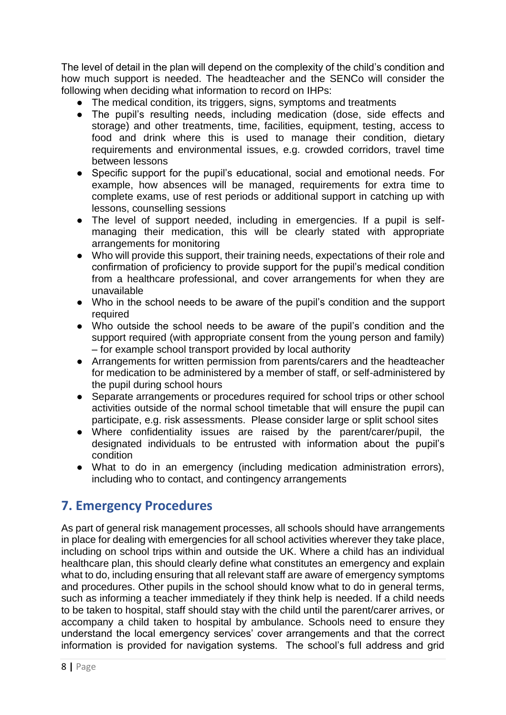The level of detail in the plan will depend on the complexity of the child's condition and how much support is needed. The headteacher and the SENCo will consider the following when deciding what information to record on IHPs:

- The medical condition, its triggers, signs, symptoms and treatments
- The pupil's resulting needs, including medication (dose, side effects and storage) and other treatments, time, facilities, equipment, testing, access to food and drink where this is used to manage their condition, dietary requirements and environmental issues, e.g. crowded corridors, travel time between lessons
- Specific support for the pupil's educational, social and emotional needs. For example, how absences will be managed, requirements for extra time to complete exams, use of rest periods or additional support in catching up with lessons, counselling sessions
- The level of support needed, including in emergencies. If a pupil is selfmanaging their medication, this will be clearly stated with appropriate arrangements for monitoring
- Who will provide this support, their training needs, expectations of their role and confirmation of proficiency to provide support for the pupil's medical condition from a healthcare professional, and cover arrangements for when they are unavailable
- Who in the school needs to be aware of the pupil's condition and the support required
- Who outside the school needs to be aware of the pupil's condition and the support required (with appropriate consent from the young person and family) – for example school transport provided by local authority
- Arrangements for written permission from parents/carers and the headteacher for medication to be administered by a member of staff, or self-administered by the pupil during school hours
- Separate arrangements or procedures required for school trips or other school activities outside of the normal school timetable that will ensure the pupil can participate, e.g. risk assessments. Please consider large or split school sites
- Where confidentiality issues are raised by the parent/carer/pupil, the designated individuals to be entrusted with information about the pupil's condition
- What to do in an emergency (including medication administration errors), including who to contact, and contingency arrangements

# **7. Emergency Procedures**

As part of general risk management processes, all schools should have arrangements in place for dealing with emergencies for all school activities wherever they take place, including on school trips within and outside the UK. Where a child has an individual healthcare plan, this should clearly define what constitutes an emergency and explain what to do, including ensuring that all relevant staff are aware of emergency symptoms and procedures. Other pupils in the school should know what to do in general terms, such as informing a teacher immediately if they think help is needed. If a child needs to be taken to hospital, staff should stay with the child until the parent/carer arrives, or accompany a child taken to hospital by ambulance. Schools need to ensure they understand the local emergency services' cover arrangements and that the correct information is provided for navigation systems. The school's full address and grid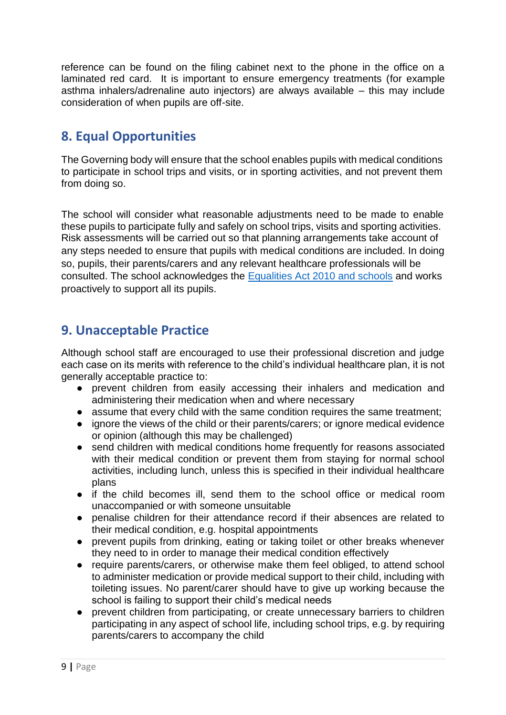reference can be found on the filing cabinet next to the phone in the office on a laminated red card. It is important to ensure emergency treatments (for example asthma inhalers/adrenaline auto injectors) are always available – this may include consideration of when pupils are off-site.

# **8. Equal Opportunities**

The Governing body will ensure that the school enables pupils with medical conditions to participate in school trips and visits, or in sporting activities, and not prevent them from doing so.

The school will consider what reasonable adjustments need to be made to enable these pupils to participate fully and safely on school trips, visits and sporting activities. Risk assessments will be carried out so that planning arrangements take account of any steps needed to ensure that pupils with medical conditions are included. In doing so, pupils, their parents/carers and any relevant healthcare professionals will be consulted. The school acknowledges the Equalities Act 2010 and schools and works proactively to support all its pupils.

# **9. Unacceptable Practice**

Although school staff are encouraged to use their professional discretion and judge each case on its merits with reference to the child's individual healthcare plan, it is not generally acceptable practice to:

- prevent children from easily accessing their inhalers and medication and administering their medication when and where necessary
- assume that every child with the same condition requires the same treatment;
- ignore the views of the child or their parents/carers; or ignore medical evidence or opinion (although this may be challenged)
- send children with medical conditions home frequently for reasons associated with their medical condition or prevent them from staying for normal school activities, including lunch, unless this is specified in their individual healthcare plans
- if the child becomes ill, send them to the school office or medical room unaccompanied or with someone unsuitable
- penalise children for their attendance record if their absences are related to their medical condition, e.g. hospital appointments
- prevent pupils from drinking, eating or taking toilet or other breaks whenever they need to in order to manage their medical condition effectively
- require parents/carers, or otherwise make them feel obliged, to attend school to administer medication or provide medical support to their child, including with toileting issues. No parent/carer should have to give up working because the school is failing to support their child's medical needs
- prevent children from participating, or create unnecessary barriers to children participating in any aspect of school life, including school trips, e.g. by requiring parents/carers to accompany the child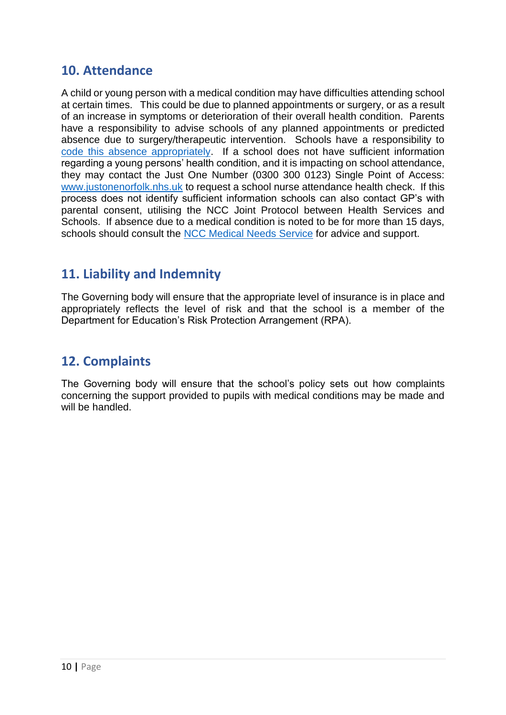# **10. Attendance**

A child or young person with a medical condition may have difficulties attending school at certain times. This could be due to planned appointments or surgery, or as a result of an increase in symptoms or deterioration of their overall health condition. Parents have a responsibility to advise schools of any planned appointments or predicted absence due to surgery/therapeutic intervention. Schools have a responsibility to [code this absence appropriately.](https://www.schools.norfolk.gov.uk/pupil-safety-and-behaviour/school-attendance/school-attendance-guidance-and-legislation) If a school does not have sufficient information regarding a young persons' health condition, and it is impacting on school attendance, they may contact the Just One Number (0300 300 0123) Single Point of Access: [www.justonenorfolk.nhs.uk](http://www.justonenorfolk.nhs.uk/) to request a school nurse attendance health check. If this process does not identify sufficient information schools can also contact GP's with parental consent, utilising the NCC Joint Protocol between Health Services and Schools. If absence due to a medical condition is noted to be for more than 15 days, schools should consult the [NCC Medical Needs Service](https://www.schools.norfolk.gov.uk/pupil-needs/health-needs/medical-needs-service) for advice and support.

# **11. Liability and Indemnity**

The Governing body will ensure that the appropriate level of insurance is in place and appropriately reflects the level of risk and that the school is a member of the Department for Education's Risk Protection Arrangement (RPA).

# **12. Complaints**

The Governing body will ensure that the school's policy sets out how complaints concerning the support provided to pupils with medical conditions may be made and will be handled.